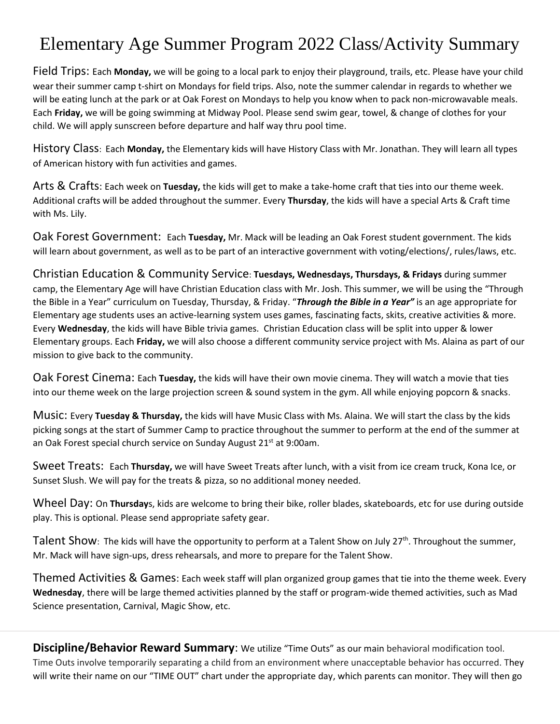## Elementary Age Summer Program 2022 Class/Activity Summary

Field Trips: Each **Monday,** we will be going to a local park to enjoy their playground, trails, etc. Please have your child wear their summer camp t-shirt on Mondays for field trips. Also, note the summer calendar in regards to whether we will be eating lunch at the park or at Oak Forest on Mondays to help you know when to pack non-microwavable meals. Each **Friday,** we will be going swimming at Midway Pool. Please send swim gear, towel, & change of clothes for your child. We will apply sunscreen before departure and half way thru pool time.

History Class: Each **Monday,** the Elementary kids will have History Class with Mr. Jonathan. They will learn all types of American history with fun activities and games.

Arts & Crafts: Each week on **Tuesday,** the kids will get to make a take-home craft that ties into our theme week. Additional crafts will be added throughout the summer. Every **Thursday**, the kids will have a special Arts & Craft time with Ms. Lily.

Oak Forest Government: Each **Tuesday,** Mr. Mack will be leading an Oak Forest student government. The kids will learn about government, as well as to be part of an interactive government with voting/elections/, rules/laws, etc.

Christian Education & Community Service: **Tuesdays, Wednesdays, Thursdays, & Fridays** during summer camp, the Elementary Age will have Christian Education class with Mr. Josh. This summer, we will be using the "Through the Bible in a Year" curriculum on Tuesday, Thursday, & Friday. "*Through the Bible in a Year"* is an age appropriate for Elementary age students uses an active-learning system uses games, fascinating facts, skits, creative activities & more. Every **Wednesday**, the kids will have Bible trivia games. Christian Education class will be split into upper & lower Elementary groups. Each **Friday,** we will also choose a different community service project with Ms. Alaina as part of our mission to give back to the community.

Oak Forest Cinema: Each **Tuesday,** the kids will have their own movie cinema. They will watch a movie that ties into our theme week on the large projection screen & sound system in the gym. All while enjoying popcorn & snacks.

Music: Every **Tuesday & Thursday,** the kids will have Music Class with Ms. Alaina. We will start the class by the kids picking songs at the start of Summer Camp to practice throughout the summer to perform at the end of the summer at an Oak Forest special church service on Sunday August 21<sup>st</sup> at 9:00am.

Sweet Treats: Each **Thursday,** we will have Sweet Treats after lunch, with a visit from ice cream truck, Kona Ice, or Sunset Slush. We will pay for the treats & pizza, so no additional money needed.

Wheel Day: On **Thursday**s, kids are welcome to bring their bike, roller blades, skateboards, etc for use during outside play. This is optional. Please send appropriate safety gear.

Talent Show: The kids will have the opportunity to perform at a Talent Show on July 27<sup>th</sup>. Throughout the summer, Mr. Mack will have sign-ups, dress rehearsals, and more to prepare for the Talent Show.

Themed Activities & Games: Each week staff will plan organized group games that tie into the theme week. Every **Wednesday**, there will be large themed activities planned by the staff or program-wide themed activities, such as Mad Science presentation, Carnival, Magic Show, etc.

**Discipline/Behavior Reward Summary**: We utilize "Time Outs" as our main behavioral modification tool. Time Outs involve temporarily separating a child from an environment where unacceptable behavior has occurred. They will write their name on our "TIME OUT" chart under the appropriate day, which parents can monitor. They will then go